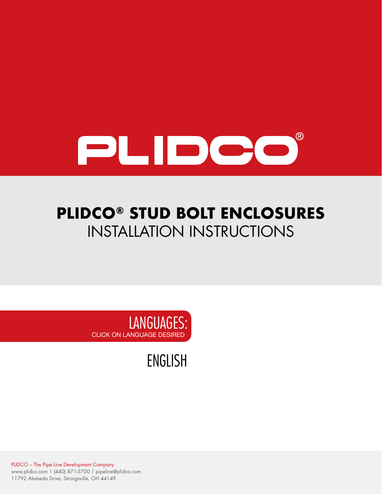

# **PLIDCO® STUD BOLT ENCLOSURES** INSTALLATION INSTRUCTIONS



[ENGLISH](#page-1-0)

PLIDCO – The Pipe Line Development Company www.plidco.com | (440) 871-5700 | pipeline@plidco.com 11792 Alameda Drive, Strongsville, OH 44149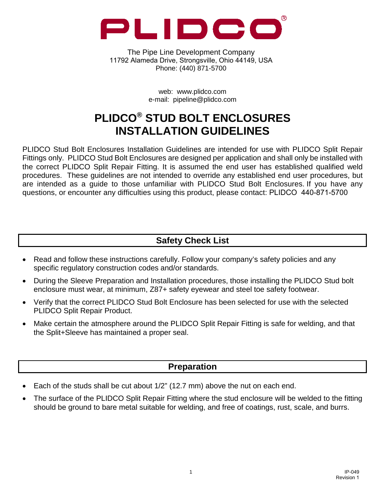<span id="page-1-0"></span>

The Pipe Line Development Company 11792 Alameda Drive, Strongsville, Ohio 44149, USA Phone: (440) 871-5700

> web: www.plidco.com e-mail: pipeline@plidco.com

## **PLIDCO® STUD BOLT ENCLOSURES INSTALLATION GUIDELINES**

PLIDCO Stud Bolt Enclosures Installation Guidelines are intended for use with PLIDCO Split Repair Fittings only. PLIDCO Stud Bolt Enclosures are designed per application and shall only be installed with the correct PLIDCO Split Repair Fitting. It is assumed the end user has established qualified weld procedures. These guidelines are not intended to override any established end user procedures, but are intended as a guide to those unfamiliar with PLIDCO Stud Bolt Enclosures. If you have any questions, or encounter any difficulties using this product, please contact: PLIDCO 440-871-5700

#### **Safety Check List**

- Read and follow these instructions carefully. Follow your company's safety policies and any specific regulatory construction codes and/or standards.
- During the Sleeve Preparation and Installation procedures, those installing the PLIDCO Stud bolt enclosure must wear, at minimum, Z87+ safety eyewear and steel toe safety footwear.
- Verify that the correct PLIDCO Stud Bolt Enclosure has been selected for use with the selected PLIDCO Split Repair Product.
- Make certain the atmosphere around the PLIDCO Split Repair Fitting is safe for welding, and that the Split+Sleeve has maintained a proper seal.

#### **Preparation**

- Each of the studs shall be cut about 1/2" (12.7 mm) above the nut on each end.
- The surface of the PLIDCO Split Repair Fitting where the stud enclosure will be welded to the fitting should be ground to bare metal suitable for welding, and free of coatings, rust, scale, and burrs.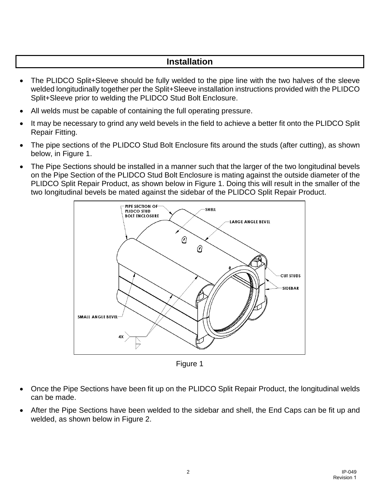#### **Installation**

- The PLIDCO Split+Sleeve should be fully welded to the pipe line with the two halves of the sleeve welded longitudinally together per the Split+Sleeve installation instructions provided with the PLIDCO Split+Sleeve prior to welding the PLIDCO Stud Bolt Enclosure.
- All welds must be capable of containing the full operating pressure.
- It may be necessary to grind any weld bevels in the field to achieve a better fit onto the PLIDCO Split Repair Fitting.
- The pipe sections of the PLIDCO Stud Bolt Enclosure fits around the studs (after cutting), as shown below, in Figure 1.
- The Pipe Sections should be installed in a manner such that the larger of the two longitudinal bevels on the Pipe Section of the PLIDCO Stud Bolt Enclosure is mating against the outside diameter of the PLIDCO Split Repair Product, as shown below in Figure 1. Doing this will result in the smaller of the two longitudinal bevels be mated against the sidebar of the PLIDCO Split Repair Product.



Figure 1

- Once the Pipe Sections have been fit up on the PLIDCO Split Repair Product, the longitudinal welds can be made.
- After the Pipe Sections have been welded to the sidebar and shell, the End Caps can be fit up and welded, as shown below in Figure 2.